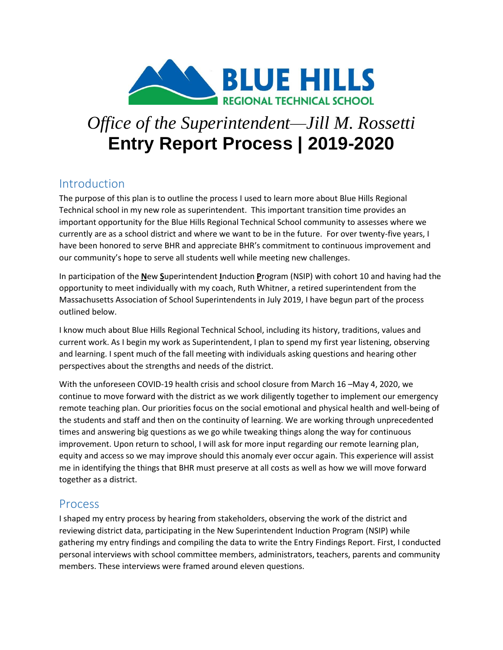

# *Office of the Superintendent—Jill M. Rossetti*  **Entry Report Process | 2019-2020**

## Introduction

The purpose of this plan is to outline the process I used to learn more about Blue Hills Regional Technical school in my new role as superintendent. This important transition time provides an important opportunity for the Blue Hills Regional Technical School community to assesses where we currently are as a school district and where we want to be in the future. For over twenty-five years, I have been honored to serve BHR and appreciate BHR's commitment to continuous improvement and our community's hope to serve all students well while meeting new challenges.

In participation of the **N**ew **S**uperintendent **I**nduction **P**rogram (NSIP) with cohort 10 and having had the opportunity to meet individually with my coach, Ruth Whitner, a retired superintendent from the Massachusetts Association of School Superintendents in July 2019, I have begun part of the process outlined below.

I know much about Blue Hills Regional Technical School, including its history, traditions, values and current work. As I begin my work as Superintendent, I plan to spend my first year listening, observing and learning. I spent much of the fall meeting with individuals asking questions and hearing other perspectives about the strengths and needs of the district.

With the unforeseen COVID-19 health crisis and school closure from March 16 –May 4, 2020, we continue to move forward with the district as we work diligently together to implement our emergency remote teaching plan. Our priorities focus on the social emotional and physical health and well-being of the students and staff and then on the continuity of learning. We are working through unprecedented times and answering big questions as we go while tweaking things along the way for continuous improvement. Upon return to school, I will ask for more input regarding our remote learning plan, equity and access so we may improve should this anomaly ever occur again. This experience will assist me in identifying the things that BHR must preserve at all costs as well as how we will move forward together as a district.

## Process

I shaped my entry process by hearing from stakeholders, observing the work of the district and reviewing district data, participating in the New Superintendent Induction Program (NSIP) while gathering my entry findings and compiling the data to write the Entry Findings Report. First, I conducted personal interviews with school committee members, administrators, teachers, parents and community members. These interviews were framed around eleven questions.